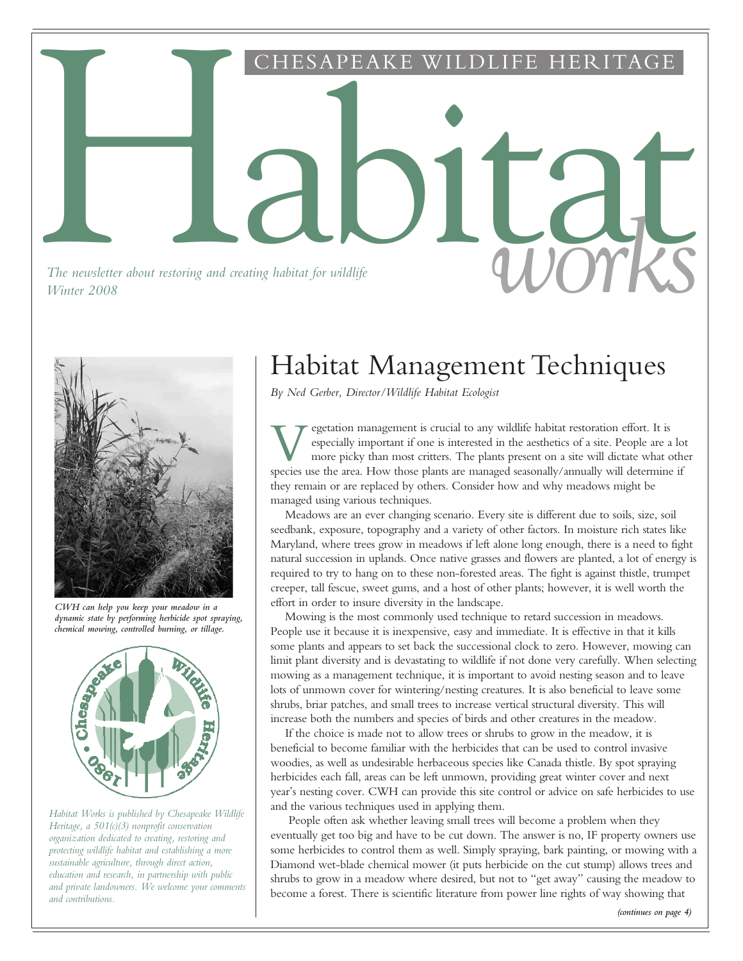Habitat CHESAPEAKE WILDLIFE HERITAGE

*The newsletter about restoring and creating habitat for wildlife The newsletter about restoring and creating habitat for wildlife* and *COV wildlife* and *CPU wildlife* and *CPU wildlife* and *CPU wildlife* and *CPU wildlife* and *CPU wildlife* and *CPU wildlife* and *CPU wildlife* and



*CWH can help you keep your meadow in a dynamic state by performing herbicide spot spraying, chemical mowing, controlled burning, or tillage.*



*Habitat Works is published by Chesapeake Wildlife Heritage, a 501(c)(3) nonprofit conservation organization dedicated to creating, restoring and protecting wildlife habitat and establishing a more sustainable agriculture, through direct action, education and research, in partnership with public and private landowners. We welcome your comments and contributions.*

## Habitat Management Techniques

*By Ned Gerber, Director/Wildlife Habitat Ecologist*

Superior management is crucial to any wildlife habitat restoration effort. It is especially important if one is interested in the aesthetics of a site. People are a lo more picky than most critters. The plants present on a egetation management is crucial to any wildlife habitat restoration effort. It is especially important if one is interested in the aesthetics of a site. People are a lot more picky than most critters. The plants present on a site will dictate what other they remain or are replaced by others. Consider how and why meadows might be managed using various techniques.

Meadows are an ever changing scenario. Every site is different due to soils, size, soil seedbank, exposure, topography and a variety of other factors. In moisture rich states like Maryland, where trees grow in meadows if left alone long enough, there is a need to fight natural succession in uplands. Once native grasses and flowers are planted, a lot of energy is required to try to hang on to these non-forested areas. The fight is against thistle, trumpet creeper, tall fescue, sweet gums, and a host of other plants; however, it is well worth the effort in order to insure diversity in the landscape.

Mowing is the most commonly used technique to retard succession in meadows. People use it because it is inexpensive, easy and immediate. It is effective in that it kills some plants and appears to set back the successional clock to zero. However, mowing can limit plant diversity and is devastating to wildlife if not done very carefully. When selecting mowing as a management technique, it is important to avoid nesting season and to leave lots of unmown cover for wintering/nesting creatures. It is also beneficial to leave some shrubs, briar patches, and small trees to increase vertical structural diversity. This will increase both the numbers and species of birds and other creatures in the meadow.

If the choice is made not to allow trees or shrubs to grow in the meadow, it is beneficial to become familiar with the herbicides that can be used to control invasive woodies, as well as undesirable herbaceous species like Canada thistle. By spot spraying herbicides each fall, areas can be left unmown, providing great winter cover and next year's nesting cover. CWH can provide this site control or advice on safe herbicides to use and the various techniques used in applying them.

People often ask whether leaving small trees will become a problem when they eventually get too big and have to be cut down. The answer is no, IF property owners use some herbicides to control them as well. Simply spraying, bark painting, or mowing with a Diamond wet-blade chemical mower (it puts herbicide on the cut stump) allows trees and shrubs to grow in a meadow where desired, but not to "get away" causing the meadow to become a forest. There is scientific literature from power line rights of way showing that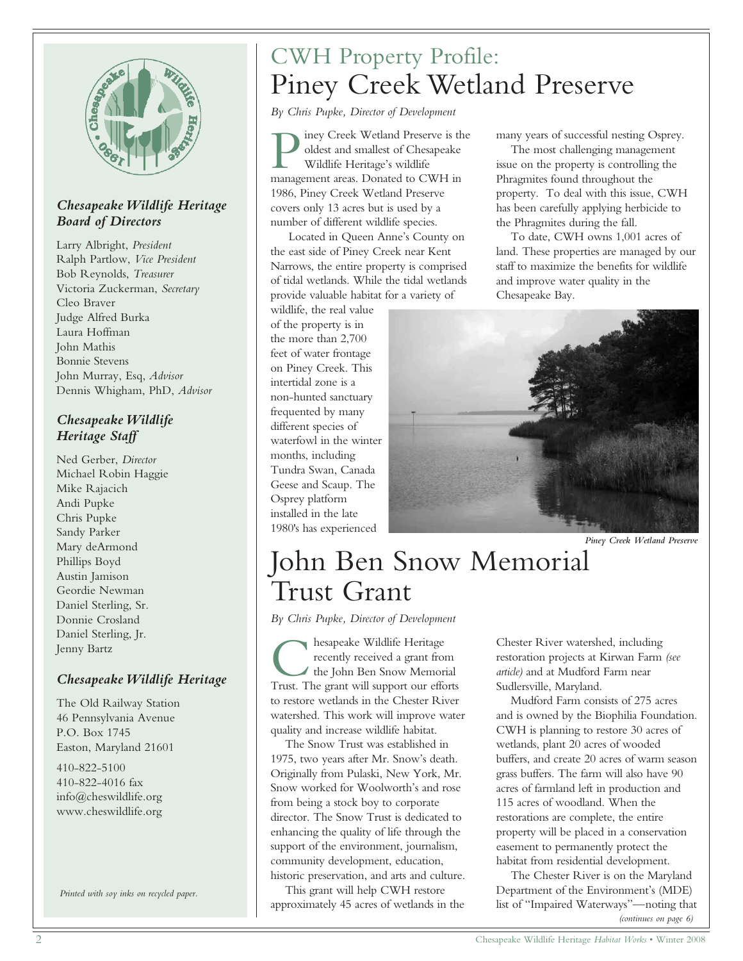

#### *Chesapeake Wildlife Heritage Board of Directors*

Larry Albright, *President* Ralph Partlow, *Vice President* Bob Reynolds, *Treasurer* Victoria Zuckerman, *Secretary* Cleo Braver Judge Alfred Burka Laura Hoffman John Mathis Bonnie Stevens John Murray, Esq, *Advisor* Dennis Whigham, PhD, *Advisor*

#### *Chesapeake Wildlife Heritage Staff*

Ned Gerber, *Director* Michael Robin Haggie Mike Rajacich Andi Pupke Chris Pupke Sandy Parker Mary deArmond Phillips Boyd Austin Jamison Geordie Newman Daniel Sterling, Sr. Donnie Crosland Daniel Sterling, Jr. Jenny Bartz

#### *Chesapeake Wildlife Heritage*

The Old Railway Station 46 Pennsylvania Avenue P.O. Box 1745 Easton, Maryland 21601

410-822-5100 410-822-4016 fax info@cheswildlife.org www.cheswildlife.org

*Printed with soy inks on recycled paper.*

## CWH Property Profile: Piney Creek Wetland Preserve

*By Chris Pupke, Director of Development*

**P** iney Creek Wetland Preserve is the oldest and smallest of Chesapeake Wildlife Heritage's wildlife management areas. Donated to CWH in iney Creek Wetland Preserve is the oldest and smallest of Chesapeake Wildlife Heritage's wildlife 1986, Piney Creek Wetland Preserve covers only 13 acres but is used by a number of different wildlife species.

Located in Queen Anne's County on the east side of Piney Creek near Kent Narrows, the entire property is comprised of tidal wetlands. While the tidal wetlands provide valuable habitat for a variety of

wildlife, the real value of the property is in the more than 2,700 feet of water frontage on Piney Creek. This intertidal zone is a non-hunted sanctuary frequented by many different species of waterfowl in the winter months, including Tundra Swan, Canada Geese and Scaup. The Osprey platform installed in the late 1980's has experienced

many years of successful nesting Osprey.

The most challenging management issue on the property is controlling the Phragmites found throughout the property. To deal with this issue, CWH has been carefully applying herbicide to the Phragmites during the fall.

To date, CWH owns 1,001 acres of land. These properties are managed by our staff to maximize the benefits for wildlife and improve water quality in the Chesapeake Bay.



*Piney Creek Wetland Preserve*

# John Ben Snow Memorial Trust Grant

*By Chris Pupke, Director of Development*

**C** hesapeake Wildlife Heritage<br>recently received a grant from<br>the John Ben Snow Memorial<br>Trust. The grant will support our efforts hesapeake Wildlife Heritage recently received a grant from the John Ben Snow Memorial to restore wetlands in the Chester River watershed. This work will improve water quality and increase wildlife habitat.

The Snow Trust was established in 1975, two years after Mr. Snow's death. Originally from Pulaski, New York, Mr. Snow worked for Woolworth's and rose from being a stock boy to corporate director. The Snow Trust is dedicated to enhancing the quality of life through the support of the environment, journalism, community development, education, historic preservation, and arts and culture.

This grant will help CWH restore approximately 45 acres of wetlands in the Chester River watershed, including restoration projects at Kirwan Farm *(see article)* and at Mudford Farm near Sudlersville, Maryland.

Mudford Farm consists of 275 acres and is owned by the Biophilia Foundation. CWH is planning to restore 30 acres of wetlands, plant 20 acres of wooded buffers, and create 20 acres of warm season grass buffers. The farm will also have 90 acres of farmland left in production and 115 acres of woodland. When the restorations are complete, the entire property will be placed in a conservation easement to permanently protect the habitat from residential development.

The Chester River is on the Maryland Department of the Environment's (MDE) list of "Impaired Waterways"—noting that *(continues on page 6)*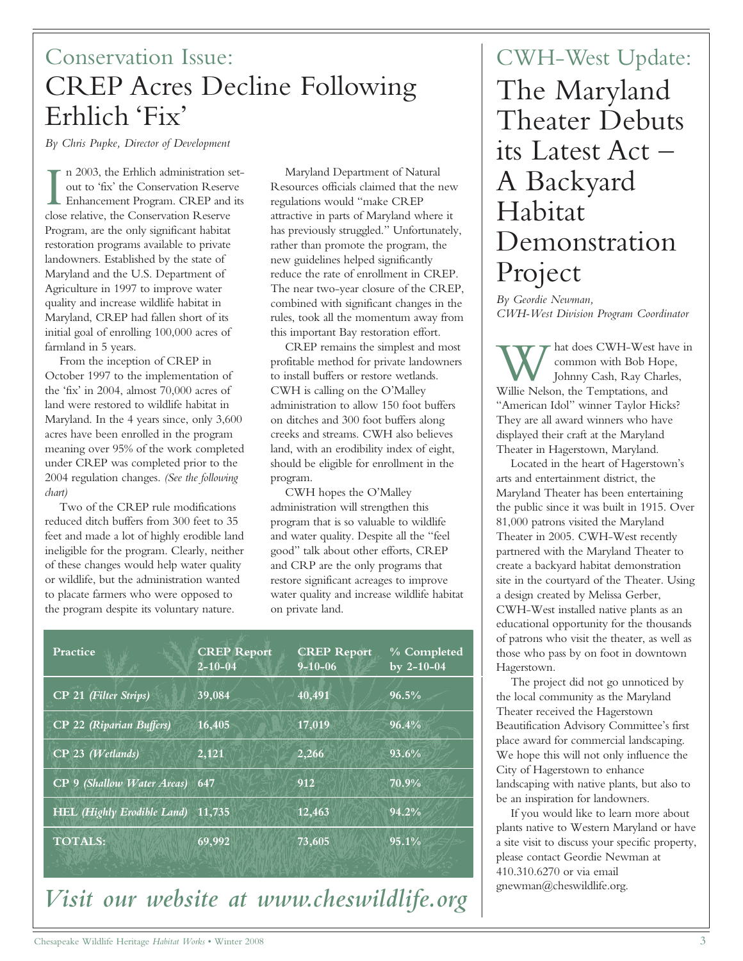### Conservation Issue: CREP Acres Decline Following Erhlich 'Fix'

*By Chris Pupke, Director of Development*

In 2003, the Erhlich administration sout to 'fix' the Conservation Reserved Enhancement Program. CREP and close relative, the Conservation Reserve n 2003, the Erhlich administration setout to 'fix' the Conservation Reserve **Enhancement Program. CREP and its** Program, are the only significant habitat restoration programs available to private landowners. Established by the state of Maryland and the U.S. Department of Agriculture in 1997 to improve water quality and increase wildlife habitat in Maryland, CREP had fallen short of its initial goal of enrolling 100,000 acres of farmland in 5 years.

From the inception of CREP in October 1997 to the implementation of the 'fix' in 2004, almost 70,000 acres of land were restored to wildlife habitat in Maryland. In the 4 years since, only 3,600 acres have been enrolled in the program meaning over 95% of the work completed under CREP was completed prior to the 2004 regulation changes. *(See the following chart)*

Two of the CREP rule modifications reduced ditch buffers from 300 feet to 35 feet and made a lot of highly erodible land ineligible for the program. Clearly, neither of these changes would help water quality or wildlife, but the administration wanted to placate farmers who were opposed to the program despite its voluntary nature.

Maryland Department of Natural Resources officials claimed that the new regulations would "make CREP attractive in parts of Maryland where it has previously struggled." Unfortunately, rather than promote the program, the new guidelines helped significantly reduce the rate of enrollment in CREP. The near two-year closure of the CREP, combined with significant changes in the rules, took all the momentum away from this important Bay restoration effort.

CREP remains the simplest and most profitable method for private landowners to install buffers or restore wetlands. CWH is calling on the O'Malley administration to allow 150 foot buffers on ditches and 300 foot buffers along creeks and streams. CWH also believes land, with an erodibility index of eight, should be eligible for enrollment in the program.

CWH hopes the O'Malley administration will strengthen this program that is so valuable to wildlife and water quality. Despite all the "feel good" talk about other efforts, CREP and CRP are the only programs that restore significant acreages to improve water quality and increase wildlife habitat on private land.

| Practice                          | <b>CREP Report</b><br>$2 - 10 - 04$ | <b>CREP Report</b><br>$9 - 10 - 06$ | % Completed<br>by $2 - 10 - 04$ |
|-----------------------------------|-------------------------------------|-------------------------------------|---------------------------------|
| CP 21 (Filter Strips)             | 39,084                              | 40,491                              | 96.5%                           |
| CP 22 (Riparian Buffers)          | 16,405                              | 17,019                              | 96.4%                           |
| CP 23 (Wetlands)                  | 2,121                               | 2,266                               | 93.6%                           |
| CP 9 (Shallow Water Areas)        | 647                                 | 912                                 | 70.9%                           |
| <b>HEL</b> (Highly Erodible Land) | 11,735                              | 12,463                              | 94.2%                           |
| <b>TOTALS:</b>                    | 69,992                              | 73,605                              | 95.1%                           |
|                                   |                                     |                                     |                                 |

### *Visit our website at www.cheswildlife.org*

# CWH-West Update: The Maryland Theater Debuts its Latest Act – A Backyard Habitat Demonstration Project

*By Geordie Newman, CWH-West Division Program Coordinator*

W hat does CWH-West has common with Bob Hop Johnny Cash, Ray Char<br>Willie Nelson, the Temptations, and hat does CWH-West have in common with Bob Hope, Johnny Cash, Ray Charles, "American Idol" winner Taylor Hicks? They are all award winners who have displayed their craft at the Maryland Theater in Hagerstown, Maryland.

Located in the heart of Hagerstown's arts and entertainment district, the Maryland Theater has been entertaining the public since it was built in 1915. Over 81,000 patrons visited the Maryland Theater in 2005. CWH-West recently partnered with the Maryland Theater to create a backyard habitat demonstration site in the courtyard of the Theater. Using a design created by Melissa Gerber, CWH-West installed native plants as an educational opportunity for the thousands of patrons who visit the theater, as well as those who pass by on foot in downtown Hagerstown.

The project did not go unnoticed by the local community as the Maryland Theater received the Hagerstown Beautification Advisory Committee's first place award for commercial landscaping. We hope this will not only influence the City of Hagerstown to enhance landscaping with native plants, but also to be an inspiration for landowners.

If you would like to learn more about plants native to Western Maryland or have a site visit to discuss your specific property, please contact Geordie Newman at 410.310.6270 or via email gnewman@cheswildlife.org.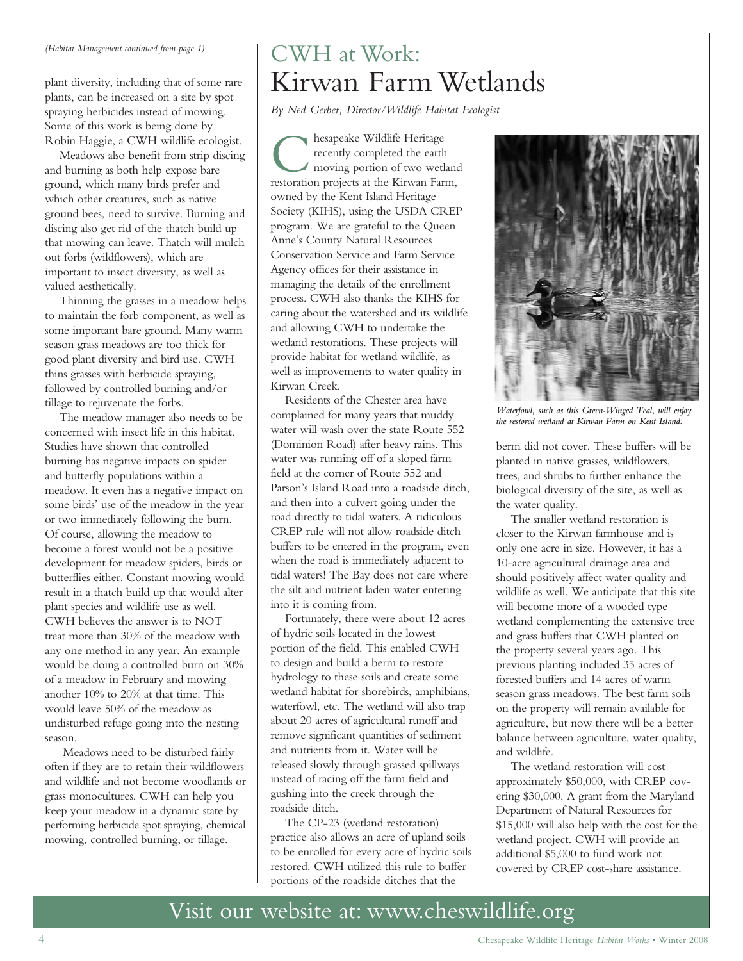#### *(Habitat Management continued from page 1)*

plant diversity, including that of some rare plants, can be increased on a site by spot spraying herbicides instead of mowing. Some of this work is being done by Robin Haggie, a CWH wildlife ecologist.

Meadows also benefit from strip discing and burning as both help expose bare ground, which many birds prefer and which other creatures, such as native ground bees, need to survive. Burning and discing also get rid of the thatch build up that mowing can leave. Thatch will mulch out forbs (wildflowers), which are important to insect diversity, as well as valued aesthetically.

Thinning the grasses in a meadow helps to maintain the forb component, as well as some important bare ground. Many warm season grass meadows are too thick for good plant diversity and bird use. CWH thins grasses with herbicide spraying, followed by controlled burning and/or tillage to rejuvenate the forbs.

The meadow manager also needs to be concerned with insect life in this habitat. Studies have shown that controlled burning has negative impacts on spider and butterfly populations within a meadow. It even has a negative impact on some birds' use of the meadow in the year or two immediately following the burn. Of course, allowing the meadow to become a forest would not be a positive development for meadow spiders, birds or butterflies either. Constant mowing would result in a thatch build up that would alter plant species and wildlife use as well. CWH believes the answer is to NOT treat more than 30% of the meadow with any one method in any year. An example would be doing a controlled burn on 30% of a meadow in February and mowing another 10% to 20% at that time. This would leave 50% of the meadow as undisturbed refuge going into the nesting season.

Meadows need to be disturbed fairly often if they are to retain their wildflowers and wildlife and not become woodlands or grass monocultures. CWH can help you keep your meadow in a dynamic state by performing herbicide spot spraying, chemical mowing, controlled burning, or tillage.

### CWH at Work: Kirwan Farm Wetlands

*By Ned Gerber, Director/Wildlife Habitat Ecologist*

**C** hesapeake Wildlife Heritage<br>recently completed the earth<br>moving portion of two wetlane<br>restoration projects at the Kirwan Farm, hesapeake Wildlife Heritage recently completed the earth moving portion of two wetland owned by the Kent Island Heritage Society (KIHS), using the USDA CREP program. We are grateful to the Queen Anne's County Natural Resources Conservation Service and Farm Service Agency offices for their assistance in managing the details of the enrollment process. CWH also thanks the KIHS for caring about the watershed and its wildlife and allowing CWH to undertake the wetland restorations. These projects will provide habitat for wetland wildlife, as well as improvements to water quality in Kirwan Creek.

Residents of the Chester area have complained for many years that muddy water will wash over the state Route 552 (Dominion Road) after heavy rains. This water was running off of a sloped farm field at the corner of Route 552 and Parson's Island Road into a roadside ditch, and then into a culvert going under the road directly to tidal waters. A ridiculous CREP rule will not allow roadside ditch buffers to be entered in the program, even when the road is immediately adjacent to tidal waters! The Bay does not care where the silt and nutrient laden water entering into it is coming from.

Fortunately, there were about 12 acres of hydric soils located in the lowest portion of the field. This enabled CWH to design and build a berm to restore hydrology to these soils and create some wetland habitat for shorebirds, amphibians, waterfowl, etc. The wetland will also trap about 20 acres of agricultural runoff and remove significant quantities of sediment and nutrients from it. Water will be released slowly through grassed spillways instead of racing off the farm field and gushing into the creek through the roadside ditch.

The CP-23 (wetland restoration) practice also allows an acre of upland soils to be enrolled for every acre of hydric soils restored. CWH utilized this rule to buffer portions of the roadside ditches that the



*Waterfowl, such as this Green-Winged Teal, will enjoy the restored wetland at Kirwan Farm on Kent Island.*

berm did not cover. These buffers will be planted in native grasses, wildflowers, trees, and shrubs to further enhance the biological diversity of the site, as well as the water quality.

The smaller wetland restoration is closer to the Kirwan farmhouse and is only one acre in size. However, it has a 10-acre agricultural drainage area and should positively affect water quality and wildlife as well. We anticipate that this site will become more of a wooded type wetland complementing the extensive tree and grass buffers that CWH planted on the property several years ago. This previous planting included 35 acres of forested buffers and 14 acres of warm season grass meadows. The best farm soils on the property will remain available for agriculture, but now there will be a better balance between agriculture, water quality, and wildlife.

The wetland restoration will cost approximately \$50,000, with CREP covering \$30,000. A grant from the Maryland Department of Natural Resources for \$15,000 will also help with the cost for the wetland project. CWH will provide an additional \$5,000 to fund work not covered by CREP cost-share assistance.

### Visit our website at: www.cheswildlife.org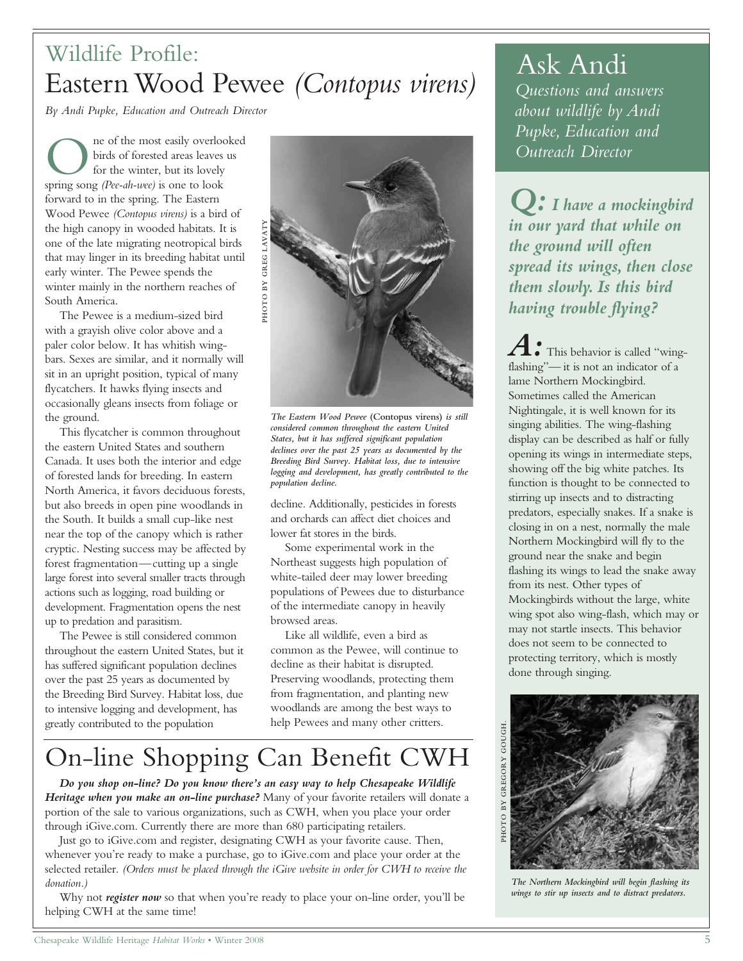## Wildlife Profile: Eastern Wood Pewee *(Contopus virens)*

*By Andi Pupke, Education and Outreach Director*

O hirds of forested areas leaves<br>for the winter, but its lovely<br>spring song *(Pee-ah-wee)* is one to look ne of the most easily overlooked birds of forested areas leaves us for the winter, but its lovely forward to in the spring. The Eastern Wood Pewee *(Contopus virens)* is a bird of the high canopy in wooded habitats. It is one of the late migrating neotropical birds that may linger in its breeding habitat until early winter. The Pewee spends the winter mainly in the northern reaches of South America.

The Pewee is a medium-sized bird with a grayish olive color above and a paler color below. It has whitish wingbars. Sexes are similar, and it normally will sit in an upright position, typical of many flycatchers. It hawks flying insects and occasionally gleans insects from foliage or the ground.

This flycatcher is common throughout the eastern United States and southern Canada. It uses both the interior and edge of forested lands for breeding. In eastern North America, it favors deciduous forests, but also breeds in open pine woodlands in the South. It builds a small cup-like nest near the top of the canopy which is rather cryptic. Nesting success may be affected by forest fragmentation—cutting up a single large forest into several smaller tracts through actions such as logging, road building or development. Fragmentation opens the nest up to predation and parasitism.

The Pewee is still considered common throughout the eastern United States, but it has suffered significant population declines over the past 25 years as documented by the Breeding Bird Survey. Habitat loss, due to intensive logging and development, has greatly contributed to the population



*The Eastern Wood Pewee* **(Contopus virens)** *is still considered common throughout the eastern United States, but it has suffered significant population declines over the past 25 years as documented by the Breeding Bird Survey. Habitat loss, due to intensive logging and development, has greatly contributed to the population decline.* 

decline. Additionally, pesticides in forests and orchards can affect diet choices and lower fat stores in the birds.

Some experimental work in the Northeast suggests high population of white-tailed deer may lower breeding populations of Pewees due to disturbance of the intermediate canopy in heavily browsed areas.

Like all wildlife, even a bird as common as the Pewee, will continue to decline as their habitat is disrupted. Preserving woodlands, protecting them from fragmentation, and planting new woodlands are among the best ways to help Pewees and many other critters.

# On-line Shopping Can Benefit CWH

*Do you shop on-line? Do you know there's an easy way to help Chesapeake Wildlife Heritage when you make an on-line purchase?* Many of your favorite retailers will donate a portion of the sale to various organizations, such as CWH, when you place your order through iGive.com. Currently there are more than 680 participating retailers.

Just go to iGive.com and register, designating CWH as your favorite cause. Then, whenever you're ready to make a purchase, go to iGive.com and place your order at the selected retailer. *(Orders must be placed through the iGive website in order for CWH to receive the donation.)*

Why not *register now* so that when you're ready to place your on-line order, you'll be helping CWH at the same time!

# Ask Andi

*Questions and answers about wildlife by Andi Pupke, Education and Outreach Director*

*Q: I have a mockingbird in our yard that while on the ground will often spread its wings, then close them slowly. Is this bird having trouble flying?*

 $\bullet$  This behavior is called "wingflashing"— it is not an indicator of a lame Northern Mockingbird. Sometimes called the American Nightingale, it is well known for its singing abilities. The wing-flashing display can be described as half or fully opening its wings in intermediate steps, showing off the big white patches. Its function is thought to be connected to stirring up insects and to distracting predators, especially snakes. If a snake is closing in on a nest, normally the male Northern Mockingbird will fly to the ground near the snake and begin flashing its wings to lead the snake away from its nest. Other types of Mockingbirds without the large, white wing spot also wing-flash, which may or may not startle insects. This behavior does not seem to be connected to protecting territory, which is mostly done through singing.



*The Northern Mockingbird will begin flashing its wings to stir up insects and to distract predators.*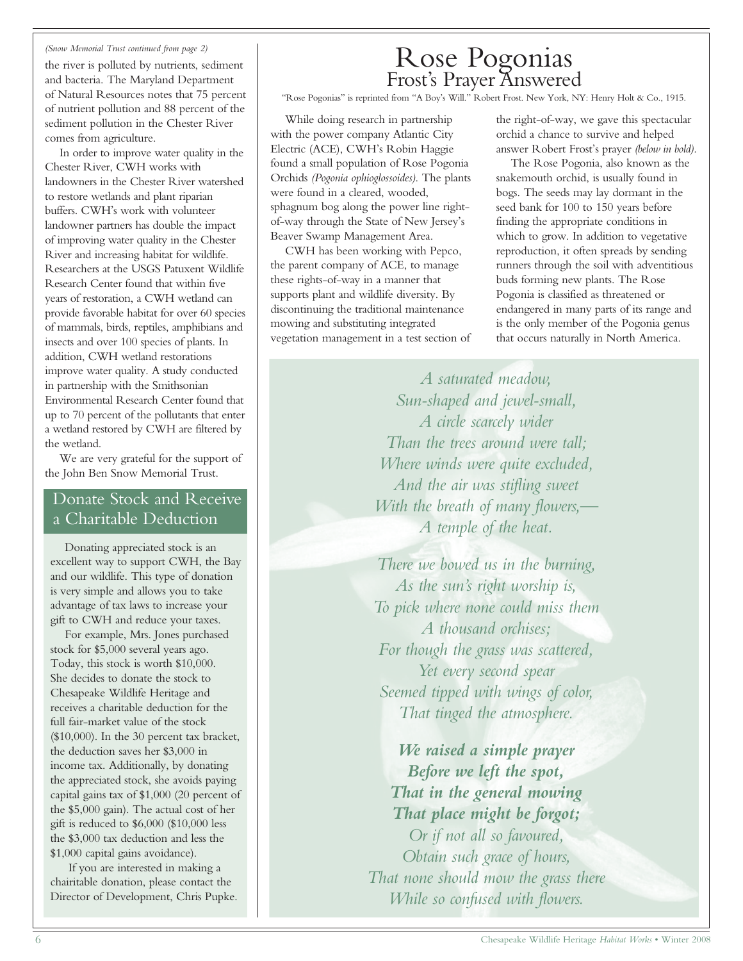#### *(Snow Memorial Trust continued from page 2)*

the river is polluted by nutrients, sediment and bacteria. The Maryland Department of Natural Resources notes that 75 percent of nutrient pollution and 88 percent of the sediment pollution in the Chester River comes from agriculture.

In order to improve water quality in the Chester River, CWH works with landowners in the Chester River watershed to restore wetlands and plant riparian buffers. CWH's work with volunteer landowner partners has double the impact of improving water quality in the Chester River and increasing habitat for wildlife. Researchers at the USGS Patuxent Wildlife Research Center found that within five years of restoration, a CWH wetland can provide favorable habitat for over 60 species of mammals, birds, reptiles, amphibians and insects and over 100 species of plants. In addition, CWH wetland restorations improve water quality. A study conducted in partnership with the Smithsonian Environmental Research Center found that up to 70 percent of the pollutants that enter a wetland restored by CWH are filtered by the wetland.

We are very grateful for the support of the John Ben Snow Memorial Trust.

#### Donate Stock and Receive a Charitable Deduction

Donating appreciated stock is an excellent way to support CWH, the Bay and our wildlife. This type of donation is very simple and allows you to take advantage of tax laws to increase your gift to CWH and reduce your taxes.

For example, Mrs. Jones purchased stock for \$5,000 several years ago. Today, this stock is worth \$10,000. She decides to donate the stock to Chesapeake Wildlife Heritage and receives a charitable deduction for the full fair-market value of the stock (\$10,000). In the 30 percent tax bracket, the deduction saves her \$3,000 in income tax. Additionally, by donating the appreciated stock, she avoids paying capital gains tax of \$1,000 (20 percent of the \$5,000 gain). The actual cost of her gift is reduced to \$6,000 (\$10,000 less the \$3,000 tax deduction and less the \$1,000 capital gains avoidance).

If you are interested in making a chairitable donation, please contact the Director of Development, Chris Pupke.

### Rose Pogonias Frost's Prayer Answered

"Rose Pogonias" is reprinted from "A Boy's Will." Robert Frost. New York, NY: Henry Holt & Co., 1915.

While doing research in partnership with the power company Atlantic City Electric (ACE), CWH's Robin Haggie found a small population of Rose Pogonia Orchids *(Pogonia ophioglossoides)*. The plants were found in a cleared, wooded, sphagnum bog along the power line rightof-way through the State of New Jersey's Beaver Swamp Management Area.

CWH has been working with Pepco, the parent company of ACE, to manage these rights-of-way in a manner that supports plant and wildlife diversity. By discontinuing the traditional maintenance mowing and substituting integrated vegetation management in a test section of the right-of-way, we gave this spectacular orchid a chance to survive and helped answer Robert Frost's prayer *(below in bold).*

The Rose Pogonia, also known as the snakemouth orchid, is usually found in bogs. The seeds may lay dormant in the seed bank for 100 to 150 years before finding the appropriate conditions in which to grow. In addition to vegetative reproduction, it often spreads by sending runners through the soil with adventitious buds forming new plants. The Rose Pogonia is classified as threatened or endangered in many parts of its range and is the only member of the Pogonia genus that occurs naturally in North America.

*A saturated meadow, Sun-shaped and jewel-small, A circle scarcely wider Than the trees around were tall; Where winds were quite excluded, And the air was stifling sweet With the breath of many flowers,— A temple of the heat.*

*There we bowed us in the burning, As the sun's right worship is, To pick where none could miss them A thousand orchises; For though the grass was scattered, Yet every second spear Seemed tipped with wings of color, That tinged the atmosphere.*

*We raised a simple prayer Before we left the spot, That in the general mowing That place might be forgot; Or if not all so favoured, Obtain such grace of hours, That none should mow the grass there While so confused with flowers.*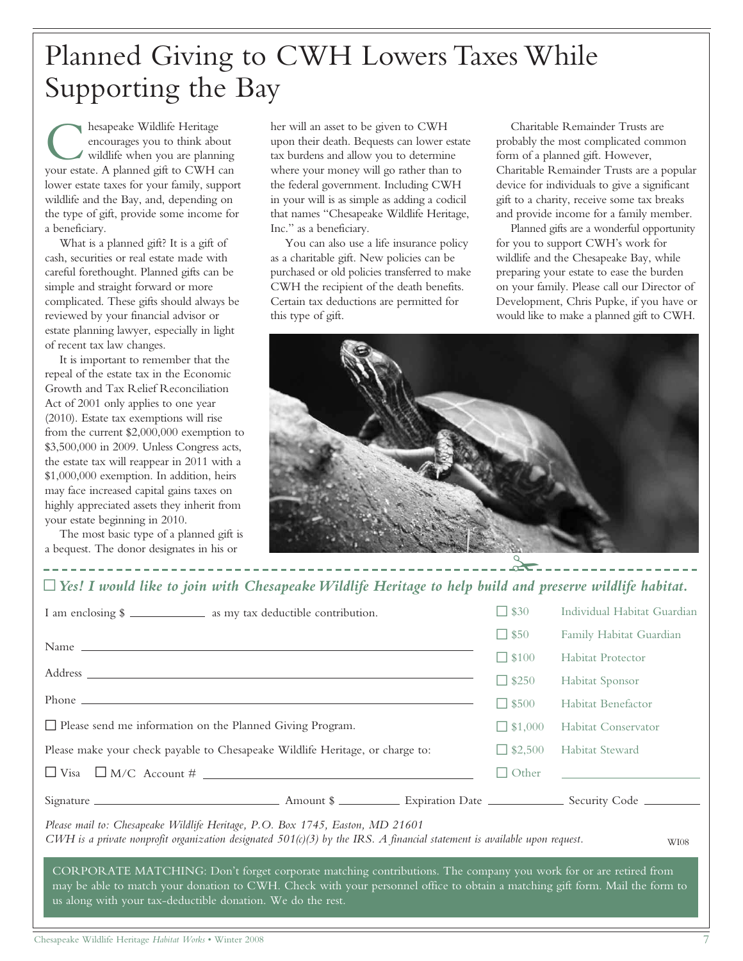# Planned Giving to CWH Lowers Taxes While Supporting the Bay

**C** hesapeake Wildlife Heritage<br>
encourages you to think about<br>
wildlife when you are planning<br>
your estate. A planned gift to CWH can hesapeake Wildlife Heritage encourages you to think about wildlife when you are planning lower estate taxes for your family, support wildlife and the Bay, and, depending on the type of gift, provide some income for a beneficiary.

What is a planned gift? It is a gift of cash, securities or real estate made with careful forethought. Planned gifts can be simple and straight forward or more complicated. These gifts should always be reviewed by your financial advisor or estate planning lawyer, especially in light of recent tax law changes.

It is important to remember that the repeal of the estate tax in the Economic Growth and Tax Relief Reconciliation Act of 2001 only applies to one year (2010). Estate tax exemptions will rise from the current \$2,000,000 exemption to \$3,500,000 in 2009. Unless Congress acts, the estate tax will reappear in 2011 with a \$1,000,000 exemption. In addition, heirs may face increased capital gains taxes on highly appreciated assets they inherit from your estate beginning in 2010.

The most basic type of a planned gift is a bequest. The donor designates in his or

her will an asset to be given to CWH upon their death. Bequests can lower estate tax burdens and allow you to determine where your money will go rather than to the federal government. Including CWH in your will is as simple as adding a codicil that names "Chesapeake Wildlife Heritage, Inc." as a beneficiary.

You can also use a life insurance policy as a charitable gift. New policies can be purchased or old policies transferred to make CWH the recipient of the death benefits. Certain tax deductions are permitted for this type of gift.

Charitable Remainder Trusts are probably the most complicated common form of a planned gift. However, Charitable Remainder Trusts are a popular device for individuals to give a significant gift to a charity, receive some tax breaks and provide income for a family member.

Planned gifts are a wonderful opportunity for you to support CWH's work for wildlife and the Chesapeake Bay, while preparing your estate to ease the burden on your family. Please call our Director of Development, Chris Pupke, if you have or would like to make a planned gift to CWH.



#### ~*Yes! I would like to join with Chesapeake Wildlife Heritage to help build and preserve wildlife habitat.*

| I am enclosing \$                                                                                                                                                                                                                                                                                              |  |  | $\Box$ \$30    | Individual Habitat Guardian |  |  |
|----------------------------------------------------------------------------------------------------------------------------------------------------------------------------------------------------------------------------------------------------------------------------------------------------------------|--|--|----------------|-----------------------------|--|--|
|                                                                                                                                                                                                                                                                                                                |  |  | $\Box$ \$50    | Family Habitat Guardian     |  |  |
|                                                                                                                                                                                                                                                                                                                |  |  | $\Box$ \$100   | <b>Habitat Protector</b>    |  |  |
|                                                                                                                                                                                                                                                                                                                |  |  | $\Box$ \$250   | Habitat Sponsor             |  |  |
| $Phone \_$                                                                                                                                                                                                                                                                                                     |  |  | $\Box$ \$500   | Habitat Benefactor          |  |  |
| $\Box$ Please send me information on the Planned Giving Program.                                                                                                                                                                                                                                               |  |  | $\Box$ \$1,000 | Habitat Conservator         |  |  |
| Please make your check payable to Chesapeake Wildlife Heritage, or charge to:                                                                                                                                                                                                                                  |  |  | $\Box$ \$2,500 | Habitat Steward             |  |  |
|                                                                                                                                                                                                                                                                                                                |  |  | $\Box$ Other   |                             |  |  |
|                                                                                                                                                                                                                                                                                                                |  |  |                |                             |  |  |
| Please mail to: Chesapeake Wildlife Heritage, P.O. Box 1745, Easton, MD 21601<br>CWH is a private nonprofit organization designated $501(c)(3)$ by the IRS. A financial statement is available upon request.<br><b>WI08</b>                                                                                    |  |  |                |                             |  |  |
| CORPORATE MATCHING: Don't forget corporate matching contributions. The company you work for or are retired from<br>may be able to match your donation to CWH. Check with your personnel office to obtain a matching gift form. Mail the form to<br>us along with your tax-deductible donation. We do the rest. |  |  |                |                             |  |  |